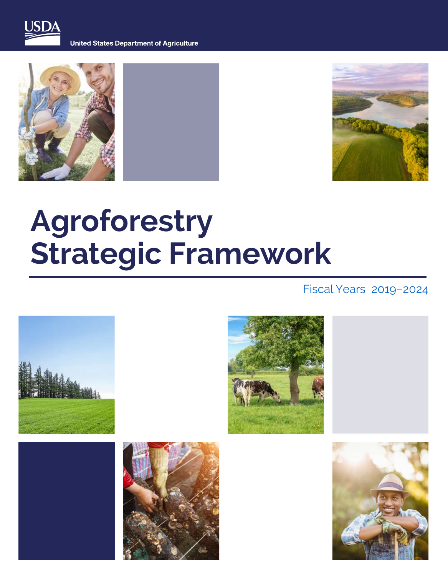

**United States Department of Agriculture** 





# **Agroforestry Strategic Framework**

### Fiscal Years 2019–2024

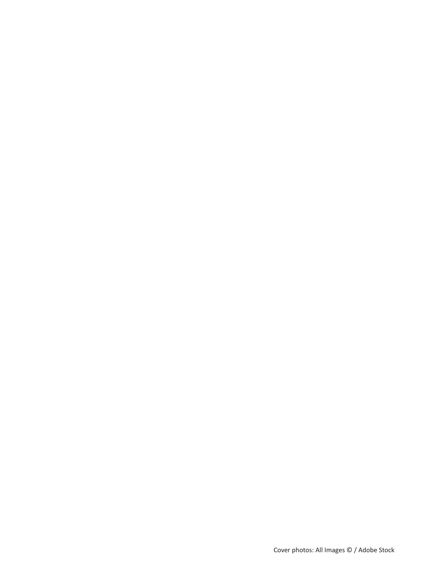Cover photos: All Images © / Adobe Stock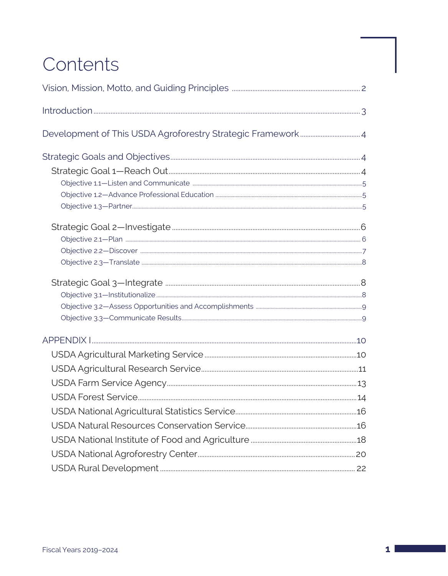## Contents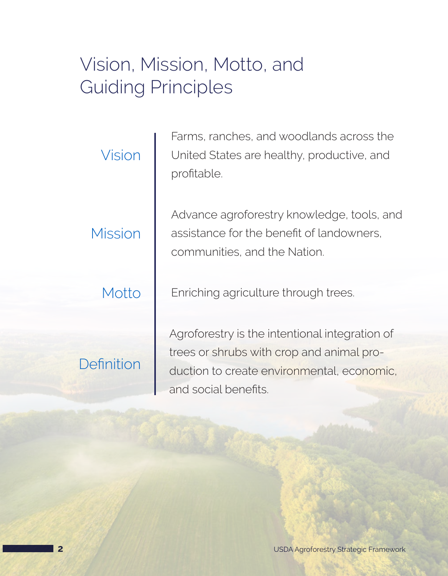## <span id="page-3-0"></span>Vision, Mission, Motto, and Guiding Principles

| Vision            |
|-------------------|
| Mission           |
| Motto             |
| <b>Definition</b> |

Farms, ranches, and woodlands across the United States are healthy, productive, and profitable.

Advance agroforestry knowledge, tools, and assistance for the benefit of landowners, communities, and the Nation.

Enriching agriculture through trees.

Agroforestry is the intentional integration of trees or shrubs with crop and animal production to create environmental, economic, and social benefits.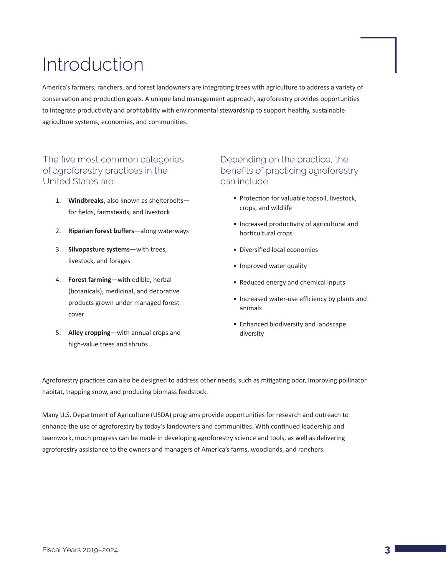## <span id="page-4-0"></span>Introduction

America's farmers, ranchers, and forest landowners are integrating trees with agriculture to address a variety of conservation and production goals. A unique land management approach, agroforestry provides opportunities to integrate productivity and profitability with environmental stewardship to support healthy, sustainable agriculture systems, economies, and communities.

#### The five most common categories of agroforestry practices in the United States are:

- 1. **Windbreaks,** also known as shelterbelts for fields, farmsteads, and livestock
- 2. **Riparian forest buffers**—along waterways
- 3. **Silvopasture systems**—with trees, livestock, and forages
- 4. **Forest farming**—with edible, herbal (botanicals), medicinal, and decorative products grown under managed forest cover
- 5. **Alley cropping**—with annual crops and high-value trees and shrubs

#### Depending on the practice, the benefits of practicing agroforestry can include:

- Protection for valuable topsoil, livestock, crops, and wildlife
- Increased productivity of agricultural and horticultural crops
- Diversified local economies
- Improved water quality
- Reduced energy and chemical inputs
- Increased water-use efficiency by plants and animals
- Enhanced biodiversity and landscape diversity

Agroforestry practices can also be designed to address other needs, such as mitigating odor, improving pollinator habitat, trapping snow, and producing biomass feedstock.

Many U.S. Department of Agriculture (USDA) programs provide opportunities for research and outreach to enhance the use of agroforestry by today's landowners and communities. With continued leadership and teamwork, much progress can be made in developing agroforestry science and tools, as well as delivering agroforestry assistance to the owners and managers of America's farms, woodlands, and ranchers.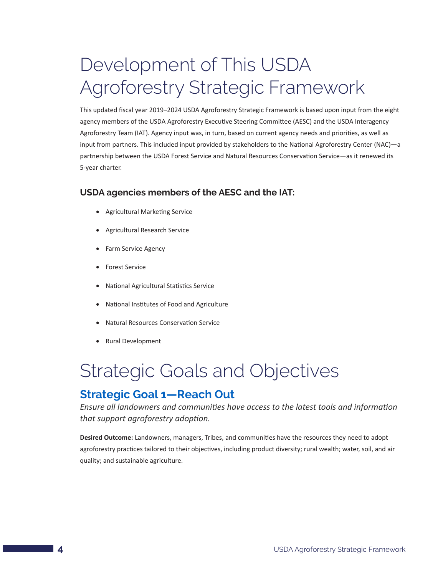## <span id="page-5-0"></span>Development of This USDA Agroforestry Strategic Framework

This updated fiscal year 2019–2024 USDA Agroforestry Strategic Framework is based upon input from the eight agency members of the USDA Agroforestry Executive Steering Committee (AESC) and the USDA Interagency Agroforestry Team (IAT). Agency input was, in turn, based on current agency needs and priorities, as well as input from partners. This included input provided by stakeholders to the National Agroforestry Center (NAC)—a partnership between the USDA Forest Service and Natural Resources Conservation Service—as it renewed its 5-year charter.

#### **USDA agencies members of the AESC and the IAT:**

- • Agricultural Marketing Service
- • Agricultural Research Service
- Farm Service Agency
- • Forest Service
- • National Agricultural Statistics Service
- • National Institutes of Food and Agriculture
- • Natural Resources Conservation Service
- • Rural Development

## Strategic Goals and Objectives

### **Strategic Goal 1—Reach Out**

*Ensure all landowners and communities have access to the latest tools and information that support agroforestry adoption.*

**Desired Outcome:** Landowners, managers, Tribes, and communities have the resources they need to adopt agroforestry practices tailored to their objectives, including product diversity; rural wealth; water, soil, and air quality; and sustainable agriculture.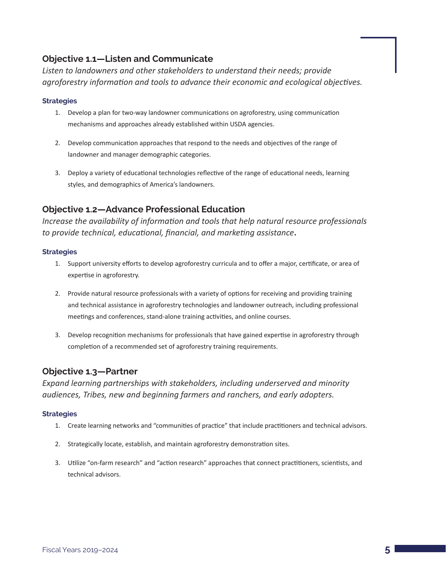#### <span id="page-6-0"></span>**Objective 1.1—Listen and Communicate**

*Listen to landowners and other stakeholders to understand their needs; provide agroforestry information and tools to advance their economic and ecological objectives.*

#### **Strategies**

- 1. Develop a plan for two-way landowner communications on agroforestry, using communication mechanisms and approaches already established within USDA agencies.
- 2. Develop communication approaches that respond to the needs and objectives of the range of landowner and manager demographic categories.
- 3. Deploy a variety of educational technologies reflective of the range of educational needs, learning styles, and demographics of America's landowners.

#### **Objective 1.2—Advance Professional Education**

*Increase the availability of information and tools that help natural resource professionals to provide technical, educational, financial, and marketing assistance***.**

#### **Strategies**

- 1. Support university efforts to develop agroforestry curricula and to offer a major, certificate, or area of expertise in agroforestry.
- 2. Provide natural resource professionals with a variety of options for receiving and providing training and technical assistance in agroforestry technologies and landowner outreach, including professional meetings and conferences, stand-alone training activities, and online courses.
- 3. Develop recognition mechanisms for professionals that have gained expertise in agroforestry through completion of a recommended set of agroforestry training requirements.

#### **Objective 1.3—Partner**

*Expand learning partnerships with stakeholders, including underserved and minority audiences, Tribes, new and beginning farmers and ranchers, and early adopters.* 

- 1. Create learning networks and "communities of practice" that include practitioners and technical advisors.
- 2. Strategically locate, establish, and maintain agroforestry demonstration sites.
- 3. Utilize "on-farm research" and "action research" approaches that connect practitioners, scientists, and technical advisors.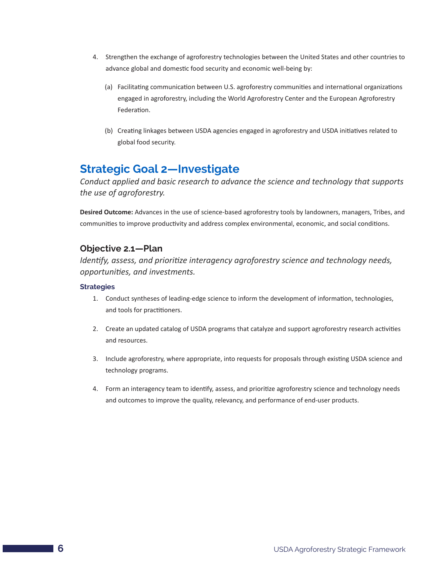- <span id="page-7-0"></span>4. Strengthen the exchange of agroforestry technologies between the United States and other countries to advance global and domestic food security and economic well-being by:
	- (a) Facilitating communication between U.S. agroforestry communities and international organizations engaged in agroforestry, including the World Agroforestry Center and the European Agroforestry Federation.
	- (b) Creating linkages between USDA agencies engaged in agroforestry and USDA initiatives related to global food security.

## **Strategic Goal 2—Investigate**

*Conduct applied and basic research to advance the science and technology that supports the use of agroforestry.*

**Desired Outcome:** Advances in the use of science-based agroforestry tools by landowners, managers, Tribes, and communities to improve productivity and address complex environmental, economic, and social conditions.

#### **Objective 2.1—Plan**

*Identify, assess, and prioritize interagency agroforestry science and technology needs, opportunities, and investments.*

- 1. Conduct syntheses of leading-edge science to inform the development of information, technologies, and tools for practitioners.
- 2. Create an updated catalog of USDA programs that catalyze and support agroforestry research activities and resources.
- 3. Include agroforestry, where appropriate, into requests for proposals through existing USDA science and technology programs.
- 4. Form an interagency team to identify, assess, and prioritize agroforestry science and technology needs and outcomes to improve the quality, relevancy, and performance of end-user products.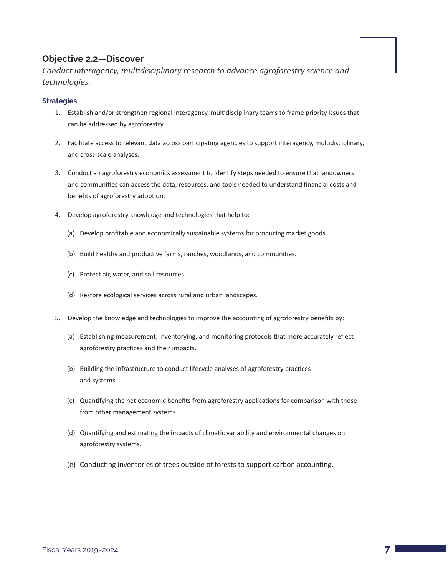#### <span id="page-8-0"></span>**Objective 2.2—Discover**

*Conduct interagency, multidisciplinary research to advance agroforestry science and technologies.*

- 1. Establish and/or strengthen regional interagency, multidisciplinary teams to frame priority issues that can be addressed by agroforestry.
- 2. Facilitate access to relevant data across participating agencies to support interagency, multidisciplinary, and cross-scale analyses.
- 3. Conduct an agroforestry economics assessment to identify steps needed to ensure that landowners and communities can access the data, resources, and tools needed to understand financial costs and benefits of agroforestry adoption.
- 4. Develop agroforestry knowledge and technologies that help to:
	- (a) Develop profitable and economically sustainable systems for producing market goods.
	- (b) Build healthy and productive farms, ranches, woodlands, and communities.
	- (c) Protect air, water, and soil resources.
	- (d) Restore ecological services across rural and urban landscapes.
- 5. Develop the knowledge and technologies to improve the accounting of agroforestry benefits by:
	- (a) Establishing measurement, inventorying, and monitoring protocols that more accurately reflect agroforestry practices and their impacts.
	- (b) Building the infrastructure to conduct lifecycle analyses of agroforestry practices and systems.
	- (c) Quantifying the net economic benefits from agroforestry applications for comparison with those from other management systems.
	- (d) Quantifying and estimating the impacts of climatic variability and environmental changes on agroforestry systems.
	- (e) Conducting inventories of trees outside of forests to support carbon accounting.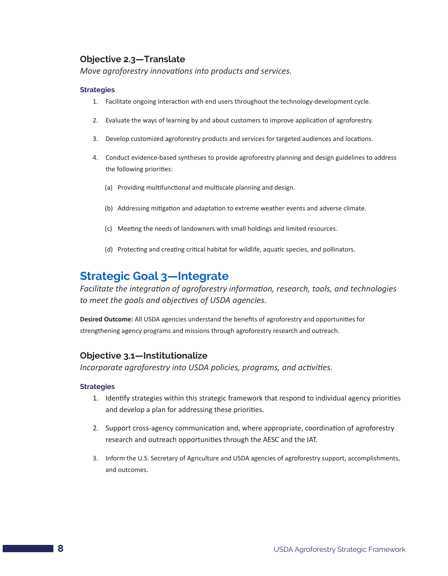#### <span id="page-9-0"></span>**Objective 2.3—Translate**

*Move agroforestry innovations into products and services.*

#### **Strategies**

- 1. Facilitate ongoing interaction with end users throughout the technology-development cycle.
- 2. Evaluate the ways of learning by and about customers to improve application of agroforestry.
- 3. Develop customized agroforestry products and services for targeted audiences and locations.
- 4. Conduct evidence-based syntheses to provide agroforestry planning and design guidelines to address the following priorities:
	- (a) Providing multifunctional and multiscale planning and design.
	- (b) Addressing mitigation and adaptation to extreme weather events and adverse climate.
	- (c) Meeting the needs of landowners with small holdings and limited resources.
	- (d) Protecting and creating critical habitat for wildlife, aquatic species, and pollinators.

## **Strategic Goal 3—Integrate**

*Facilitate the integration of agroforestry information, research, tools, and technologies to meet the goals and objectives of USDA agencies.*

**Desired Outcome:** All USDA agencies understand the benefits of agroforestry and opportunities for strengthening agency programs and missions through agroforestry research and outreach.

#### **Objective 3.1—Institutionalize**

*Incorporate agroforestry into USDA policies, programs, and activities.*

- 1. Identify strategies within this strategic framework that respond to individual agency priorities and develop a plan for addressing these priorities.
- 2. Support cross-agency communication and, where appropriate, coordination of agroforestry research and outreach opportunities through the AESC and the IAT.
- 3. Inform the U.S. Secretary of Agriculture and USDA agencies of agroforestry support, accomplishments, and outcomes.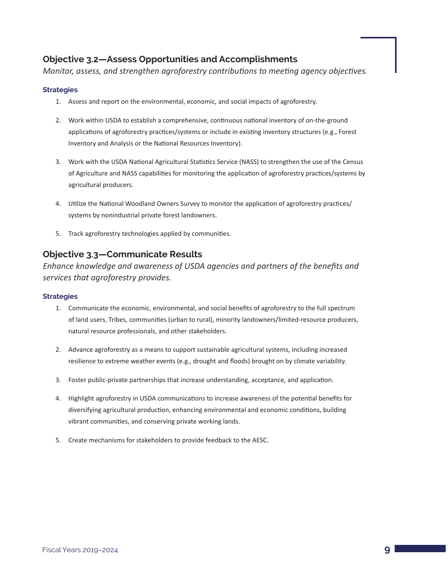#### <span id="page-10-0"></span>**Objective 3.2—Assess Opportunities and Accomplishments**

*Monitor, assess, and strengthen agroforestry contributions to meeting agency objectives.*

#### **Strategies**

- 1. Assess and report on the environmental, economic, and social impacts of agroforestry.
- 2. Work within USDA to establish a comprehensive, continuous national inventory of on-the-ground applications of agroforestry practices/systems or include in existing inventory structures (e.g., Forest Inventory and Analysis or the National Resources Inventory).
- 3. Work with the USDA National Agricultural Statistics Service (NASS) to strengthen the use of the Census of Agriculture and NASS capabilities for monitoring the application of agroforestry practices/systems by agricultural producers.
- 4. Utilize the National Woodland Owners Survey to monitor the application of agroforestry practices/ systems by nonindustrial private forest landowners.
- 5. Track agroforestry technologies applied by communities.

#### **Objective 3.3—Communicate Results**

*Enhance knowledge and awareness of USDA agencies and partners of the benefits and services that agroforestry provides.*

- 1. Communicate the economic, environmental, and social benefits of agroforestry to the full spectrum of land users, Tribes, communities (urban to rural), minority landowners/limited-resource producers, natural resource professionals, and other stakeholders.
- 2. Advance agroforestry as a means to support sustainable agricultural systems, including increased resilience to extreme weather events (e.g., drought and floods) brought on by climate variability.
- 3. Foster public-private partnerships that increase understanding, acceptance, and application.
- 4. Highlight agroforestry in USDA communications to increase awareness of the potential benefits for diversifying agricultural production, enhancing environmental and economic conditions, building vibrant communities, and conserving private working lands.
- 5. Create mechanisms for stakeholders to provide feedback to the AESC.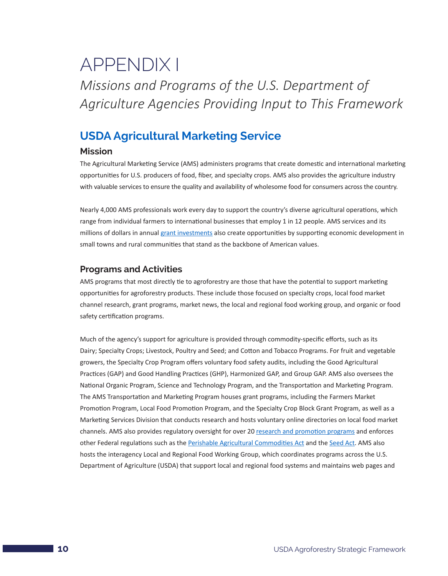## <span id="page-11-0"></span>APPENDIX I *Missions and Programs of the U.S. Department of Agriculture Agencies Providing Input to This Framework*

## **USDA Agricultural Marketing Service**

#### **Mission**

The Agricultural Marketing Service (AMS) administers programs that create domestic and international marketing opportunities for U.S. producers of food, fiber, and specialty crops. AMS also provides the agriculture industry with valuable services to ensure the quality and availability of wholesome food for consumers across the country.

Nearly 4,000 AMS professionals work every day to support the country's diverse agricultural operations, which range from individual farmers to international businesses that employ 1 in 12 people. AMS services and its millions of dollars in annual [grant investments](https://www.ams.usda.gov/services/grants) also create opportunities by supporting economic development in small towns and rural communities that stand as the backbone of American values.

#### **Programs and Activities**

AMS programs that most directly tie to agroforestry are those that have the potential to support marketing opportunities for agroforestry products. These include those focused on specialty crops, local food market channel research, grant programs, market news, the local and regional food working group, and organic or food safety certification programs.

Much of the agency's support for agriculture is provided through commodity-specific efforts, such as its Dairy; Specialty Crops; Livestock, Poultry and Seed; and Cotton and Tobacco Programs. For fruit and vegetable growers, the Specialty Crop Program offers voluntary food safety audits, including the Good Agricultural Practices (GAP) and Good Handling Practices (GHP), Harmonized GAP, and Group GAP. AMS also oversees the National Organic Program, Science and Technology Program, and the Transportation and Marketing Program. The AMS Transportation and Marketing Program houses grant programs, including the Farmers Market Promotion Program, Local Food Promotion Program, and the Specialty Crop Block Grant Program, as well as a Marketing Services Division that conducts research and hosts voluntary online directories on local food market channels. AMS also provides regulatory oversight for over 20 [research and promotion programs](https://www.ams.usda.gov/rules-regulations/research-promotion) and enforces other Federal regulations such as the [Perishable Agricultural Commodities Act](https://www.ams.usda.gov/rules-regulations/paca) and the [Seed Act](https://www.ams.usda.gov/rules-regulations/fsa). AMS also hosts the interagency Local and Regional Food Working Group, which coordinates programs across the U.S. Department of Agriculture (USDA) that support local and regional food systems and maintains web pages and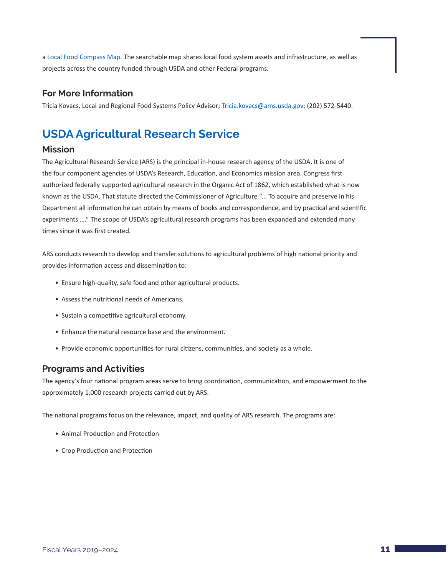<span id="page-12-0"></span>a [Local Food Compass Map](https://www.ams.usda.gov/local-food-sector/compass-map). The searchable map shares local food system assets and infrastructure, as well as projects across the country funded through USDA and other Federal programs.

#### **For More Information**

Tricia Kovacs, Local and Regional Food Systems Policy Advisor; [Tricia.kovacs@ams.usda.gov;](mailto:Tricia.kovacs@ams.usda.gov) (202) 572-5440.

## **USDA Agricultural Research Service**

#### **Mission**

The Agricultural Research Service (ARS) is the principal in-house research agency of the USDA. It is one of the four component agencies of USDA's Research, Education, and Economics mission area. Congress first authorized federally supported agricultural research in the Organic Act of 1862, which established what is now known as the USDA. That statute directed the Commissioner of Agriculture "... To acquire and preserve in his Department all information he can obtain by means of books and correspondence, and by practical and scientific experiments …." The scope of USDA's agricultural research programs has been expanded and extended many times since it was first created.

ARS conducts research to develop and transfer solutions to agricultural problems of high national priority and provides information access and dissemination to:

- Ensure high-quality, safe food and other agricultural products.
- Assess the nutritional needs of Americans.
- Sustain a competitive agricultural economy.
- Enhance the natural resource base and the environment.
- Provide economic opportunities for rural citizens, communities, and society as a whole.

### **Programs and Activities**

The agency's four national program areas serve to bring coordination, communication, and empowerment to the approximately 1,000 research projects carried out by ARS.

The national programs focus on the relevance, impact, and quality of ARS research. The programs are:

- Animal Production and Protection
- Crop Production and Protection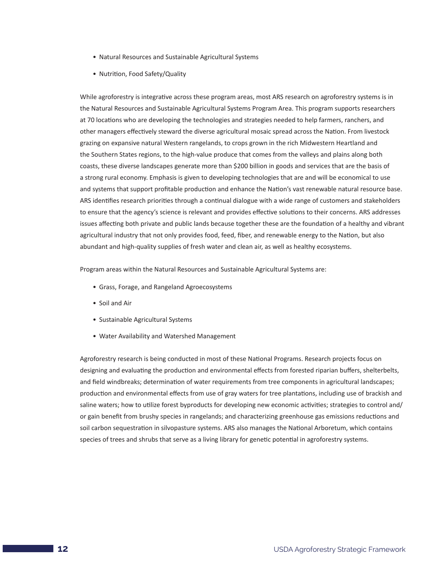- Natural Resources and Sustainable Agricultural Systems
- Nutrition, Food Safety/Quality

While agroforestry is integrative across these program areas, most ARS research on agroforestry systems is in the Natural Resources and Sustainable Agricultural Systems Program Area. This program supports researchers at 70 locations who are developing the technologies and strategies needed to help farmers, ranchers, and other managers effectively steward the diverse agricultural mosaic spread across the Nation. From livestock grazing on expansive natural Western rangelands, to crops grown in the rich Midwestern Heartland and the Southern States regions, to the high-value produce that comes from the valleys and plains along both coasts, these diverse landscapes generate more than \$200 billion in goods and services that are the basis of a strong rural economy. Emphasis is given to developing technologies that are and will be economical to use and systems that support profitable production and enhance the Nation's vast renewable natural resource base. ARS identifies research priorities through a continual dialogue with a wide range of customers and stakeholders to ensure that the agency's science is relevant and provides effective solutions to their concerns. ARS addresses issues affecting both private and public lands because together these are the foundation of a healthy and vibrant agricultural industry that not only provides food, feed, fiber, and renewable energy to the Nation, but also abundant and high-quality supplies of fresh water and clean air, as well as healthy ecosystems.

Program areas within the Natural Resources and Sustainable Agricultural Systems are:

- Grass, Forage, and Rangeland Agroecosystems
- Soil and Air
- Sustainable Agricultural Systems
- Water Availability and Watershed Management

Agroforestry research is being conducted in most of these National Programs. Research projects focus on designing and evaluating the production and environmental effects from forested riparian buffers, shelterbelts, and field windbreaks; determination of water requirements from tree components in agricultural landscapes; production and environmental effects from use of gray waters for tree plantations, including use of brackish and saline waters; how to utilize forest byproducts for developing new economic activities; strategies to control and/ or gain benefit from brushy species in rangelands; and characterizing greenhouse gas emissions reductions and soil carbon sequestration in silvopasture systems. ARS also manages the National Arboretum, which contains species of trees and shrubs that serve as a living library for genetic potential in agroforestry systems.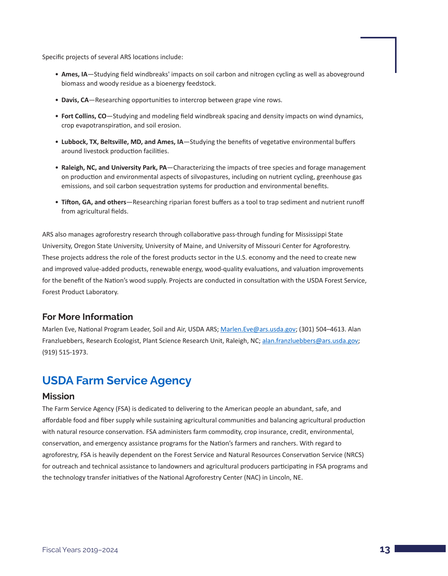<span id="page-14-0"></span>Specific projects of several ARS locations include:

- **Ames, IA**—Studying field windbreaks' impacts on soil carbon and nitrogen cycling as well as aboveground biomass and woody residue as a bioenergy feedstock.
- **Davis, CA**—Researching opportunities to intercrop between grape vine rows.
- **Fort Collins, CO**—Studying and modeling field windbreak spacing and density impacts on wind dynamics, crop evapotranspiration, and soil erosion.
- **Lubbock, TX, Beltsville, MD, and Ames, IA**—Studying the benefits of vegetative environmental buffers around livestock production facilities.
- **Raleigh, NC, and University Park, PA**—Characterizing the impacts of tree species and forage management on production and environmental aspects of silvopastures, including on nutrient cycling, greenhouse gas emissions, and soil carbon sequestration systems for production and environmental benefits.
- **Tifton, GA, and others**—Researching riparian forest buffers as a tool to trap sediment and nutrient runoff from agricultural fields.

ARS also manages agroforestry research through collaborative pass-through funding for Mississippi State University, Oregon State University, University of Maine, and University of Missouri Center for Agroforestry. These projects address the role of the forest products sector in the U.S. economy and the need to create new and improved value-added products, renewable energy, wood-quality evaluations, and valuation improvements for the benefit of the Nation's wood supply. Projects are conducted in consultation with the USDA Forest Service, Forest Product Laboratory.

#### **For More Information**

Marlen Eve, National Program Leader, Soil and Air, USDA ARS; Marlen. Eve@ars.usda.gov; (301) 504-4613. Alan Franzluebbers, Research Ecologist, Plant Science Research Unit, Raleigh, NC; [alan.franzluebbers@ars.usda.gov;](mailto:alan.franzluebbers@ars.usda.gov) (919) 515-1973.

## **USDA Farm Service Agency**

#### **Mission**

The Farm Service Agency (FSA) is dedicated to delivering to the American people an abundant, safe, and affordable food and fiber supply while sustaining agricultural communities and balancing agricultural production with natural resource conservation. FSA administers farm commodity, crop insurance, credit, environmental, conservation, and emergency assistance programs for the Nation's farmers and ranchers. With regard to agroforestry, FSA is heavily dependent on the Forest Service and Natural Resources Conservation Service (NRCS) for outreach and technical assistance to landowners and agricultural producers participating in FSA programs and the technology transfer initiatives of the National Agroforestry Center (NAC) in Lincoln, NE.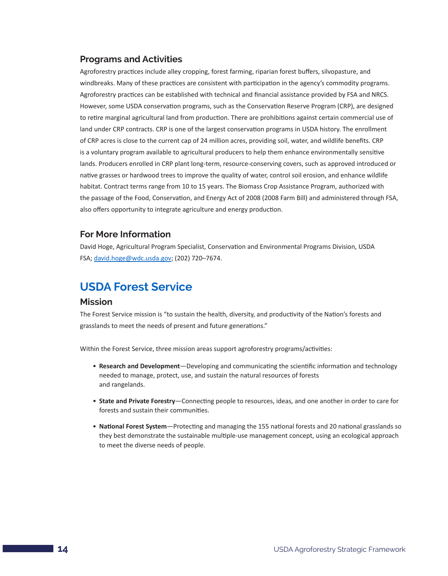#### <span id="page-15-0"></span>**Programs and Activities**

Agroforestry practices include alley cropping, forest farming, riparian forest buffers, silvopasture, and windbreaks. Many of these practices are consistent with participation in the agency's commodity programs. Agroforestry practices can be established with technical and financial assistance provided by FSA and NRCS. However, some USDA conservation programs, such as the Conservation Reserve Program (CRP), are designed to retire marginal agricultural land from production. There are prohibitions against certain commercial use of land under CRP contracts. CRP is one of the largest conservation programs in USDA history. The enrollment of CRP acres is close to the current cap of 24 million acres, providing soil, water, and wildlife benefits. CRP is a voluntary program available to agricultural producers to help them enhance environmentally sensitive lands. Producers enrolled in CRP plant long-term, resource-conserving covers, such as approved introduced or native grasses or hardwood trees to improve the quality of water, control soil erosion, and enhance wildlife habitat. Contract terms range from 10 to 15 years. The Biomass Crop Assistance Program, authorized with the passage of the Food, Conservation, and Energy Act of 2008 (2008 Farm Bill) and administered through FSA, also offers opportunity to integrate agriculture and energy production.

#### **For More Information**

David Hoge, Agricultural Program Specialist, Conservation and Environmental Programs Division, USDA FSA; [david.hoge@wdc.usda.gov](mailto:david.hoge@wdc.usda.gov); (202) 720–7674.

### **USDA Forest Service**

#### **Mission**

The Forest Service mission is "to sustain the health, diversity, and productivity of the Nation's forests and grasslands to meet the needs of present and future generations."

Within the Forest Service, three mission areas support agroforestry programs/activities:

- **Research and Development**—Developing and communicating the scientific information and technology needed to manage, protect, use, and sustain the natural resources of forests and rangelands.
- **State and Private Forestry**—Connecting people to resources, ideas, and one another in order to care for forests and sustain their communities.
- **National Forest System**—Protecting and managing the 155 national forests and 20 national grasslands so they best demonstrate the sustainable multiple-use management concept, using an ecological approach to meet the diverse needs of people.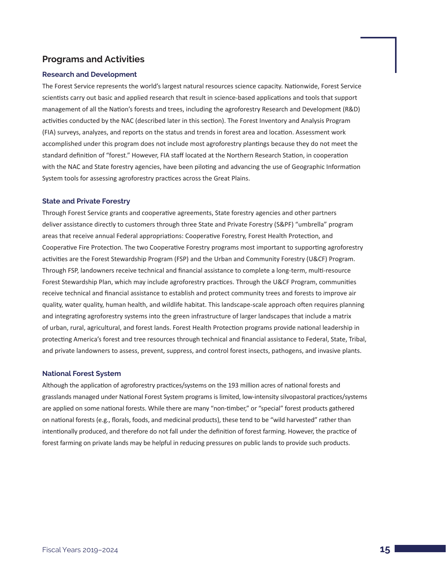#### **Programs and Activities**

#### **Research and Development**

The Forest Service represents the world's largest natural resources science capacity. Nationwide, Forest Service scientists carry out basic and applied research that result in science-based applications and tools that support management of all the Nation's forests and trees, including the agroforestry Research and Development (R&D) activities conducted by the NAC (described later in this section). The Forest Inventory and Analysis Program (FIA) surveys, analyzes, and reports on the status and trends in forest area and location. Assessment work accomplished under this program does not include most agroforestry plantings because they do not meet the standard definition of "forest." However, FIA staff located at the Northern Research Station, in cooperation with the NAC and State forestry agencies, have been piloting and advancing the use of Geographic Information System tools for assessing agroforestry practices across the Great Plains.

#### **State and Private Forestry**

Through Forest Service grants and cooperative agreements, State forestry agencies and other partners deliver assistance directly to customers through three State and Private Forestry (S&PF) "umbrella" program areas that receive annual Federal appropriations: Cooperative Forestry, Forest Health Protection, and Cooperative Fire Protection. The two Cooperative Forestry programs most important to supporting agroforestry activities are the Forest Stewardship Program (FSP) and the Urban and Community Forestry (U&CF) Program. Through FSP, landowners receive technical and financial assistance to complete a long-term, multi-resource Forest Stewardship Plan, which may include agroforestry practices. Through the U&CF Program, communities receive technical and financial assistance to establish and protect community trees and forests to improve air quality, water quality, human health, and wildlife habitat. This landscape-scale approach often requires planning and integrating agroforestry systems into the green infrastructure of larger landscapes that include a matrix of urban, rural, agricultural, and forest lands. Forest Health Protection programs provide national leadership in protecting America's forest and tree resources through technical and financial assistance to Federal, State, Tribal, and private landowners to assess, prevent, suppress, and control forest insects, pathogens, and invasive plants.

#### **National Forest System**

Although the application of agroforestry practices/systems on the 193 million acres of national forests and grasslands managed under National Forest System programs is limited, low-intensity silvopastoral practices/systems are applied on some national forests. While there are many "non-timber," or "special" forest products gathered on national forests (e.g., florals, foods, and medicinal products), these tend to be "wild harvested" rather than intentionally produced, and therefore do not fall under the definition of forest farming. However, the practice of forest farming on private lands may be helpful in reducing pressures on public lands to provide such products.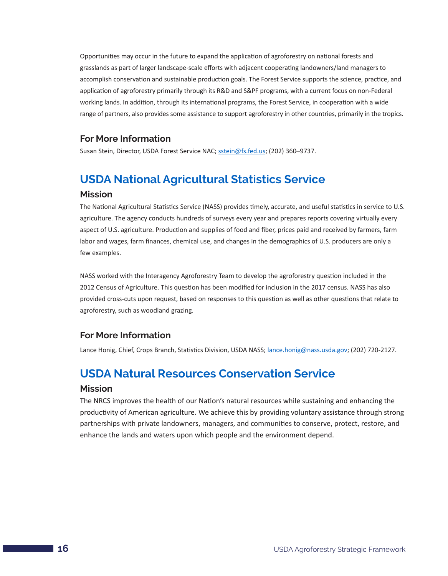<span id="page-17-0"></span>Opportunities may occur in the future to expand the application of agroforestry on national forests and grasslands as part of larger landscape-scale efforts with adjacent cooperating landowners/land managers to accomplish conservation and sustainable production goals. The Forest Service supports the science, practice, and application of agroforestry primarily through its R&D and S&PF programs, with a current focus on non-Federal working lands. In addition, through its international programs, the Forest Service, in cooperation with a wide range of partners, also provides some assistance to support agroforestry in other countries, primarily in the tropics.

#### **For More Information**

Susan Stein, Director, USDA Forest Service NAC; [sstein@fs.fed.us](mailto:sstein@fs.fed.us); (202) 360–9737.

## **USDA National Agricultural Statistics Service**

#### **Mission**

The National Agricultural Statistics Service (NASS) provides timely, accurate, and useful statistics in service to U.S. agriculture. The agency conducts hundreds of surveys every year and prepares reports covering virtually every aspect of U.S. agriculture. Production and supplies of food and fiber, prices paid and received by farmers, farm labor and wages, farm finances, chemical use, and changes in the demographics of U.S. producers are only a few examples.

NASS worked with the Interagency Agroforestry Team to develop the agroforestry question included in the 2012 Census of Agriculture. This question has been modified for inclusion in the 2017 census. NASS has also provided cross-cuts upon request, based on responses to this question as well as other questions that relate to agroforestry, such as woodland grazing.

#### **For More Information**

Lance Honig, Chief, Crops Branch, Statistics Division, USDA NASS; [lance.honig@nass.usda.gov;](mailto:lance.honig@nass.usda.gov) (202) 720-2127.

## **USDA Natural Resources Conservation Service**

#### **Mission**

The NRCS improves the health of our Nation's natural resources while sustaining and enhancing the productivity of American agriculture. We achieve this by providing voluntary assistance through strong partnerships with private landowners, managers, and communities to conserve, protect, restore, and enhance the lands and waters upon which people and the environment depend.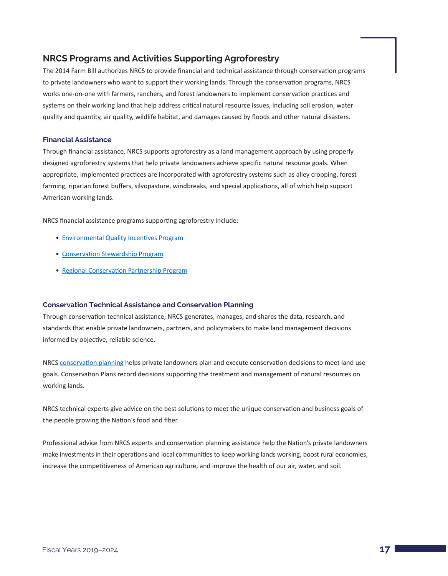#### **NRCS Programs and Activities Supporting Agroforestry**

The 2014 Farm Bill authorizes NRCS to provide financial and technical assistance through conservation programs to private landowners who want to support their working lands. Through the conservation programs, NRCS works one-on-one with farmers, ranchers, and forest landowners to implement conservation practices and systems on their working land that help address critical natural resource issues, including soil erosion, water quality and quantity, air quality, wildlife habitat, and damages caused by floods and other natural disasters.

#### **Financial Assistance**

Through financial assistance, NRCS supports agroforestry as a land management approach by using properly designed agroforestry systems that help private landowners achieve specific natural resource goals. When appropriate, implemented practices are incorporated with agroforestry systems such as alley cropping, forest farming, riparian forest buffers, silvopasture, windbreaks, and special applications, all of which help support American working lands.

NRCS financial assistance programs supporting agroforestry include:

- Environmental Quality Incentives Program
- [Conservation Stewardship Program](https://www.nrcs.usda.gov/wps/portal/nrcs/main/national/programs/financial/csp/)
- [Regional Conservation Partnership Program](https://www.nrcs.usda.gov/wps/portal/nrcs/main/national/programs/farmbill/rcpp/)

#### **Conservation Technical Assistance and Conservation Planning**

Through conservation technical assistance, NRCS generates, manages, and shares the data, research, and standards that enable private landowners, partners, and policymakers to make land management decisions informed by objective, reliable science.

NRCS [conservation planning](https://www.nrcs.usda.gov/wps/portal/nrcs/detail/national/programs/technical/cta/?cid=stelprdb1049425) helps private landowners plan and execute conservation decisions to meet land use goals. Conservation Plans record decisions supporting the treatment and management of natural resources on working lands.

NRCS technical experts give advice on the best solutions to meet the unique conservation and business goals of the people growing the Nation's food and fiber.

Professional advice from NRCS experts and conservation planning assistance help the Nation's private landowners make investments in their operations and local communities to keep working lands working, boost rural economies, increase the competitiveness of American agriculture, and improve the health of our air, water, and soil.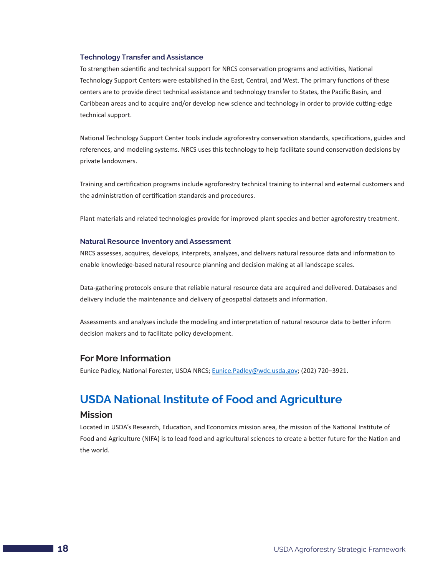#### <span id="page-19-0"></span>**Technology Transfer and Assistance**

To strengthen scientific and technical support for NRCS conservation programs and activities, National Technology Support Centers were established in the East, Central, and West. The primary functions of these centers are to provide direct technical assistance and technology transfer to States, the Pacific Basin, and Caribbean areas and to acquire and/or develop new science and technology in order to provide cutting-edge technical support.

National Technology Support Center tools include agroforestry conservation standards, specifications, guides and references, and modeling systems. NRCS uses this technology to help facilitate sound conservation decisions by private landowners.

Training and certification programs include agroforestry technical training to internal and external customers and the administration of certification standards and procedures.

Plant materials and related technologies provide for improved plant species and better agroforestry treatment.

#### **Natural Resource Inventory and Assessment**

NRCS assesses, acquires, develops, interprets, analyzes, and delivers natural resource data and information to enable knowledge-based natural resource planning and decision making at all landscape scales.

Data-gathering protocols ensure that reliable natural resource data are acquired and delivered. Databases and delivery include the maintenance and delivery of geospatial datasets and information.

Assessments and analyses include the modeling and interpretation of natural resource data to better inform decision makers and to facilitate policy development.

#### **For More Information**

Eunice Padley, National Forester, USDA NRCS; [Eunice.Padley@wdc.usda.gov;](file:///C:/Users/josephpbanegas/Desktop/Eunice.Padley@wdc.usda.gov) (202) 720–3921.

### **USDA National Institute of Food and Agriculture**

#### **Mission**

Located in USDA's Research, Education, and Economics mission area, the mission of the National Institute of Food and Agriculture (NIFA) is to lead food and agricultural sciences to create a better future for the Nation and the world.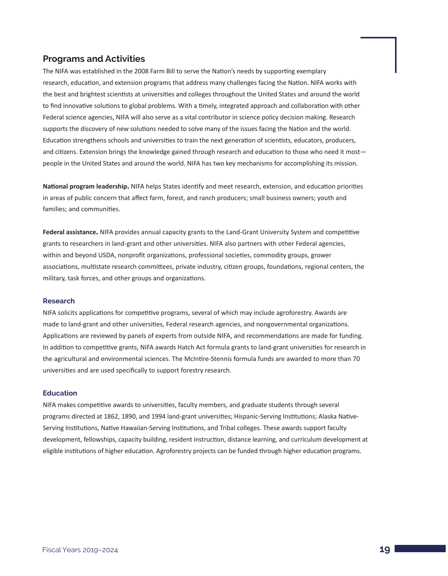#### **Programs and Activities**

The NIFA was established in the 2008 Farm Bill to serve the Nation's needs by supporting exemplary research, education, and extension programs that address many challenges facing the Nation. NIFA works with the best and brightest scientists at universities and colleges throughout the United States and around the world to find innovative solutions to global problems. With a timely, integrated approach and collaboration with other Federal science agencies, NIFA will also serve as a vital contributor in science policy decision making. Research supports the discovery of new solutions needed to solve many of the issues facing the Nation and the world. Education strengthens schools and universities to train the next generation of scientists, educators, producers, and citizens. Extension brings the knowledge gained through research and education to those who need it most people in the United States and around the world. NIFA has two key mechanisms for accomplishing its mission.

**National program leadership.** NIFA helps States identify and meet research, extension, and education priorities in areas of public concern that affect farm, forest, and ranch producers; small business owners; youth and families; and communities.

**Federal assistance.** NIFA provides annual capacity grants to the Land-Grant University System and competitive grants to researchers in land-grant and other universities. NIFA also partners with other Federal agencies, within and beyond USDA, nonprofit organizations, professional societies, commodity groups, grower associations, multistate research committees, private industry, citizen groups, foundations, regional centers, the military, task forces, and other groups and organizations.

#### **Research**

NIFA solicits applications for competitive programs, several of which may include agroforestry. Awards are made to land-grant and other universities, Federal research agencies, and nongovernmental organizations. Applications are reviewed by panels of experts from outside NIFA, and recommendations are made for funding. In addition to competitive grants, NIFA awards Hatch Act formula grants to land-grant universities for research in the agricultural and environmental sciences. The McIntire-Stennis formula funds are awarded to more than 70 universities and are used specifically to support forestry research.

#### **Education**

NIFA makes competitive awards to universities, faculty members, and graduate students through several programs directed at 1862, 1890, and 1994 land-grant universities; Hispanic-Serving Institutions; Alaska Native-Serving Institutions, Native Hawaiian-Serving Institutions, and Tribal colleges. These awards support faculty development, fellowships, capacity building, resident instruction, distance learning, and curriculum development at eligible institutions of higher education. Agroforestry projects can be funded through higher education programs.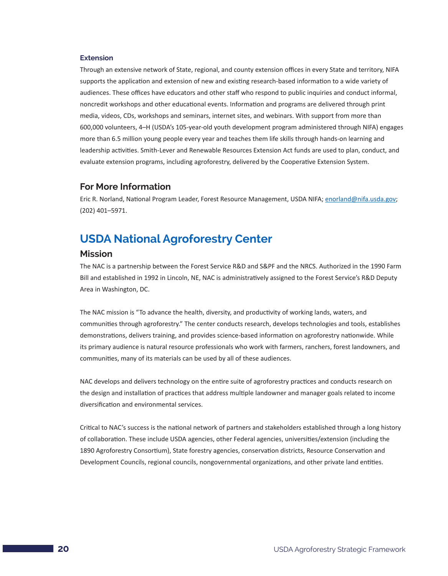#### <span id="page-21-0"></span>**Extension**

Through an extensive network of State, regional, and county extension offices in every State and territory, NIFA supports the application and extension of new and existing research-based information to a wide variety of audiences. These offices have educators and other staff who respond to public inquiries and conduct informal, noncredit workshops and other educational events. Information and programs are delivered through print media, videos, CDs, workshops and seminars, internet sites, and webinars. With support from more than 600,000 volunteers, 4–H (USDA's 105-year-old youth development program administered through NIFA) engages more than 6.5 million young people every year and teaches them life skills through hands-on learning and leadership activities. Smith-Lever and Renewable Resources Extension Act funds are used to plan, conduct, and evaluate extension programs, including agroforestry, delivered by the Cooperative Extension System.

#### **For More Information**

Eric R. Norland, National Program Leader, Forest Resource Management, USDA NIFA; [enorland@nifa.usda.gov;](file:///C:/Users/josephpbanegas/Desktop/enorland@nifa.usda.gov) (202) 401–5971.

### **USDA National Agroforestry Center**

#### **Mission**

The NAC is a partnership between the Forest Service R&D and S&PF and the NRCS. Authorized in the 1990 Farm Bill and established in 1992 in Lincoln, NE, NAC is administratively assigned to the Forest Service's R&D Deputy Area in Washington, DC.

The NAC mission is "To advance the health, diversity, and productivity of working lands, waters, and communities through agroforestry." The center conducts research, develops technologies and tools, establishes demonstrations, delivers training, and provides science-based information on agroforestry nationwide. While its primary audience is natural resource professionals who work with farmers, ranchers, forest landowners, and communities, many of its materials can be used by all of these audiences.

NAC develops and delivers technology on the entire suite of agroforestry practices and conducts research on the design and installation of practices that address multiple landowner and manager goals related to income diversification and environmental services.

Critical to NAC's success is the national network of partners and stakeholders established through a long history of collaboration. These include USDA agencies, other Federal agencies, universities/extension (including the 1890 Agroforestry Consortium), State forestry agencies, conservation districts, Resource Conservation and Development Councils, regional councils, nongovernmental organizations, and other private land entities.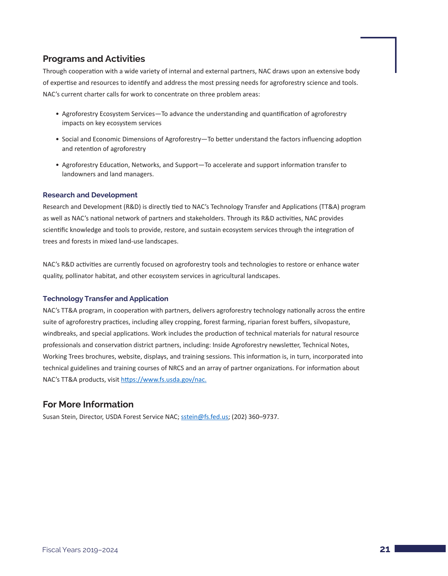#### **Programs and Activities**

Through cooperation with a wide variety of internal and external partners, NAC draws upon an extensive body of expertise and resources to identify and address the most pressing needs for agroforestry science and tools. NAC's current charter calls for work to concentrate on three problem areas:

- Agroforestry Ecosystem Services—To advance the understanding and quantification of agroforestry impacts on key ecosystem services
- Social and Economic Dimensions of Agroforestry—To better understand the factors influencing adoption and retention of agroforestry
- Agroforestry Education, Networks, and Support—To accelerate and support information transfer to landowners and land managers.

#### **Research and Development**

Research and Development (R&D) is directly tied to NAC's Technology Transfer and Applications (TT&A) program as well as NAC's national network of partners and stakeholders. Through its R&D activities, NAC provides scientific knowledge and tools to provide, restore, and sustain ecosystem services through the integration of trees and forests in mixed land-use landscapes.

NAC's R&D activities are currently focused on agroforestry tools and technologies to restore or enhance water quality, pollinator habitat, and other ecosystem services in agricultural landscapes.

#### **Technology Transfer and Application**

NAC's TT&A program, in cooperation with partners, delivers agroforestry technology nationally across the entire suite of agroforestry practices, including alley cropping, forest farming, riparian forest buffers, silvopasture, windbreaks, and special applications. Work includes the production of technical materials for natural resource professionals and conservation district partners, including: Inside Agroforestry newsletter, Technical Notes, Working Trees brochures, website, displays, and training sessions. This information is, in turn, incorporated into technical guidelines and training courses of NRCS and an array of partner organizations. For information about NAC's TT&A products, visit<https://www.fs.usda.gov/nac>.

#### **For More Information**

Susan Stein, Director, USDA Forest Service NAC; [sstein@fs.fed.us](file:///C:/Users/josephpbanegas/Desktop/sstein@fs.fed.us); (202) 360–9737.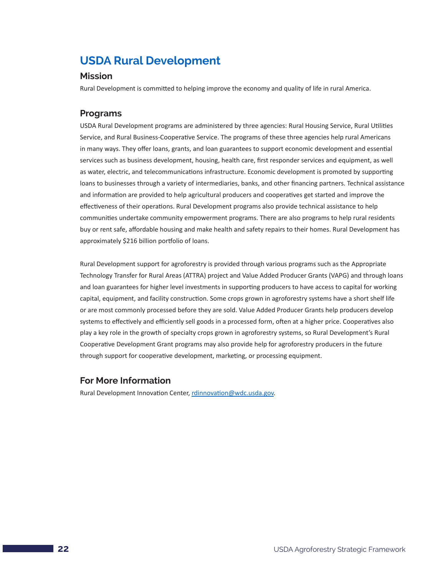## <span id="page-23-0"></span>**USDA Rural Development**

#### **Mission**

Rural Development is committed to helping improve the economy and quality of life in rural America.

#### **Programs**

USDA Rural Development programs are administered by three agencies: Rural Housing Service, Rural Utilities Service, and Rural Business-Cooperative Service. The programs of these three agencies help rural Americans in many ways. They offer loans, grants, and loan guarantees to support economic development and essential services such as business development, housing, health care, first responder services and equipment, as well as water, electric, and telecommunications infrastructure. Economic development is promoted by supporting loans to businesses through a variety of intermediaries, banks, and other financing partners. Technical assistance and information are provided to help agricultural producers and cooperatives get started and improve the effectiveness of their operations. Rural Development programs also provide technical assistance to help communities undertake community empowerment programs. There are also programs to help rural residents buy or rent safe, affordable housing and make health and safety repairs to their homes. Rural Development has approximately \$216 billion portfolio of loans.

Rural Development support for agroforestry is provided through various programs such as the Appropriate Technology Transfer for Rural Areas (ATTRA) project and Value Added Producer Grants (VAPG) and through loans and loan guarantees for higher level investments in supporting producers to have access to capital for working capital, equipment, and facility construction. Some crops grown in agroforestry systems have a short shelf life or are most commonly processed before they are sold. Value Added Producer Grants help producers develop systems to effectively and efficiently sell goods in a processed form, often at a higher price. Cooperatives also play a key role in the growth of specialty crops grown in agroforestry systems, so Rural Development's Rural Cooperative Development Grant programs may also provide help for agroforestry producers in the future through support for cooperative development, marketing, or processing equipment.

#### **For More Information**

Rural Development Innovation Center, [rdinnovation@wdc.usda.gov.](mailto:rdinnovation@wdc.usda.gov)